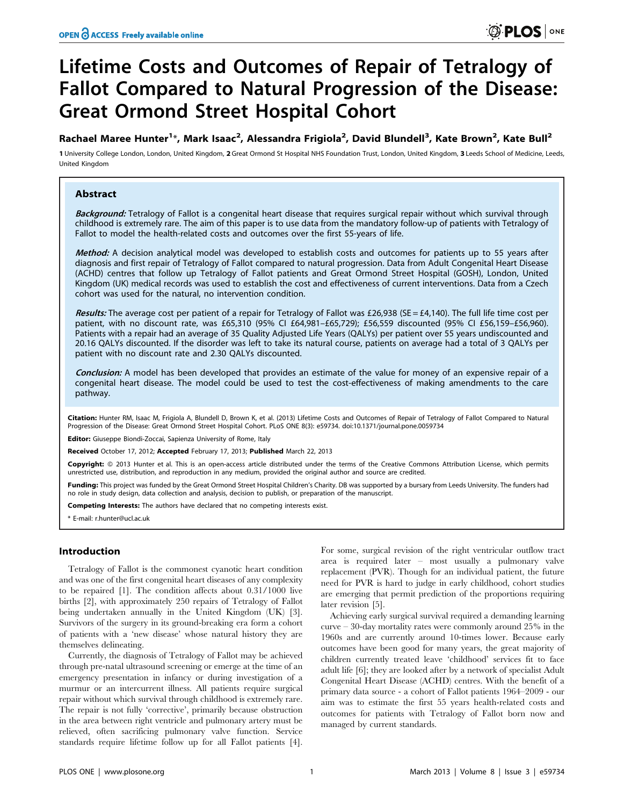# Lifetime Costs and Outcomes of Repair of Tetralogy of Fallot Compared to Natural Progression of the Disease: Great Ormond Street Hospital Cohort

Rachael Maree Hunter<sup>1</sup>\*, Mark Isaac<sup>2</sup>, Alessandra Frigiola<sup>2</sup>, David Blundell<sup>3</sup>, Kate Brown<sup>2</sup>, Kate Bull<sup>2</sup>

1 University College London, London, United Kingdom, 2 Great Ormond St Hospital NHS Foundation Trust, London, United Kingdom, 3 Leeds School of Medicine, Leeds, United Kingdom

# Abstract

Background: Tetralogy of Fallot is a congenital heart disease that requires surgical repair without which survival through childhood is extremely rare. The aim of this paper is to use data from the mandatory follow-up of patients with Tetralogy of Fallot to model the health-related costs and outcomes over the first 55-years of life.

Method: A decision analytical model was developed to establish costs and outcomes for patients up to 55 years after diagnosis and first repair of Tetralogy of Fallot compared to natural progression. Data from Adult Congenital Heart Disease (ACHD) centres that follow up Tetralogy of Fallot patients and Great Ormond Street Hospital (GOSH), London, United Kingdom (UK) medical records was used to establish the cost and effectiveness of current interventions. Data from a Czech cohort was used for the natural, no intervention condition.

Results: The average cost per patient of a repair for Tetralogy of Fallot was £26,938 (SE = £4,140). The full life time cost per patient, with no discount rate, was £65,310 (95% CI £64,981–£65,729); £56,559 discounted (95% CI £56,159–£56,960). Patients with a repair had an average of 35 Quality Adjusted Life Years (QALYs) per patient over 55 years undiscounted and 20.16 QALYs discounted. If the disorder was left to take its natural course, patients on average had a total of 3 QALYs per patient with no discount rate and 2.30 QALYs discounted.

Conclusion: A model has been developed that provides an estimate of the value for money of an expensive repair of a congenital heart disease. The model could be used to test the cost-effectiveness of making amendments to the care pathway.

Citation: Hunter RM, Isaac M, Frigiola A, Blundell D, Brown K, et al. (2013) Lifetime Costs and Outcomes of Repair of Tetralogy of Fallot Compared to Natural Progression of the Disease: Great Ormond Street Hospital Cohort. PLoS ONE 8(3): e59734. doi:10.1371/journal.pone.0059734

Editor: Giuseppe Biondi-Zoccai, Sapienza University of Rome, Italy

Received October 17, 2012; Accepted February 17, 2013; Published March 22, 2013

Copyright: © 2013 Hunter et al. This is an open-access article distributed under the terms of the Creative Commons Attribution License, which permits estricted use, distribution, and reproduction in any medium, provided the original author and source are credited.

Funding: This project was funded by the Great Ormond Street Hospital Children's Charity. DB was supported by a bursary from Leeds University. The funders had no role in study design, data collection and analysis, decision to publish, or preparation of the manuscript.

Competing Interests: The authors have declared that no competing interests exist.

\* E-mail: r.hunter@ucl.ac.uk

# Introduction

Tetralogy of Fallot is the commonest cyanotic heart condition and was one of the first congenital heart diseases of any complexity to be repaired [1]. The condition affects about 0.31/1000 live births [2], with approximately 250 repairs of Tetralogy of Fallot being undertaken annually in the United Kingdom (UK) [3]. Survivors of the surgery in its ground-breaking era form a cohort of patients with a 'new disease' whose natural history they are themselves delineating.

Currently, the diagnosis of Tetralogy of Fallot may be achieved through pre-natal ultrasound screening or emerge at the time of an emergency presentation in infancy or during investigation of a murmur or an intercurrent illness. All patients require surgical repair without which survival through childhood is extremely rare. The repair is not fully 'corrective', primarily because obstruction in the area between right ventricle and pulmonary artery must be relieved, often sacrificing pulmonary valve function. Service standards require lifetime follow up for all Fallot patients [4].

For some, surgical revision of the right ventricular outflow tract area is required later – most usually a pulmonary valve replacement (PVR). Though for an individual patient, the future need for PVR is hard to judge in early childhood, cohort studies are emerging that permit prediction of the proportions requiring later revision [5].

Achieving early surgical survival required a demanding learning curve – 30-day mortality rates were commonly around 25% in the 1960s and are currently around 10-times lower. Because early outcomes have been good for many years, the great majority of children currently treated leave 'childhood' services fit to face adult life [6]; they are looked after by a network of specialist Adult Congenital Heart Disease (ACHD) centres. With the benefit of a primary data source - a cohort of Fallot patients 1964–2009 - our aim was to estimate the first 55 years health-related costs and outcomes for patients with Tetralogy of Fallot born now and managed by current standards.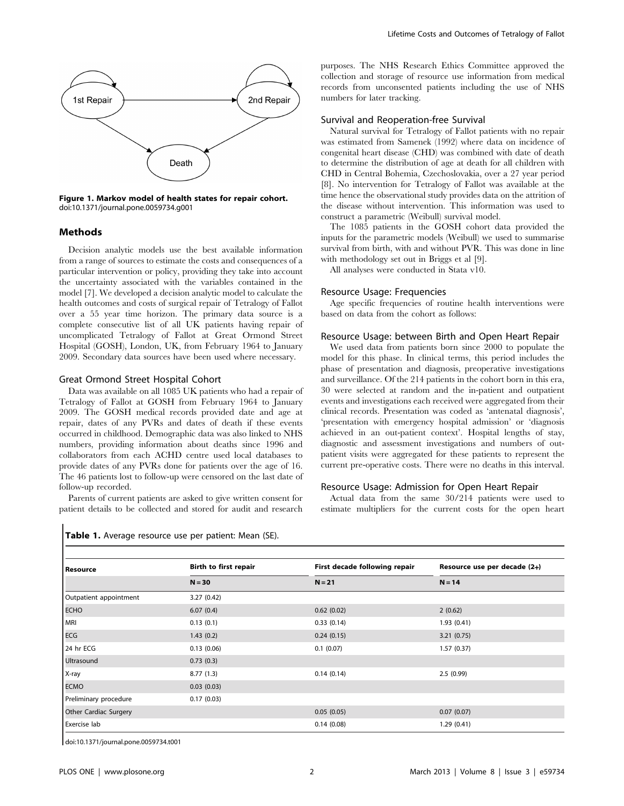

Figure 1. Markov model of health states for repair cohort. doi:10.1371/journal.pone.0059734.g001

## Methods

Decision analytic models use the best available information from a range of sources to estimate the costs and consequences of a particular intervention or policy, providing they take into account the uncertainty associated with the variables contained in the model [7]. We developed a decision analytic model to calculate the health outcomes and costs of surgical repair of Tetralogy of Fallot over a 55 year time horizon. The primary data source is a complete consecutive list of all UK patients having repair of uncomplicated Tetralogy of Fallot at Great Ormond Street Hospital (GOSH), London, UK, from February 1964 to January 2009. Secondary data sources have been used where necessary.

### Great Ormond Street Hospital Cohort

Data was available on all 1085 UK patients who had a repair of Tetralogy of Fallot at GOSH from February 1964 to January 2009. The GOSH medical records provided date and age at repair, dates of any PVRs and dates of death if these events occurred in childhood. Demographic data was also linked to NHS numbers, providing information about deaths since 1996 and collaborators from each ACHD centre used local databases to provide dates of any PVRs done for patients over the age of 16. The 46 patients lost to follow-up were censored on the last date of follow-up recorded.

Parents of current patients are asked to give written consent for patient details to be collected and stored for audit and research

Table 1. Average resource use per patient: Mean (SE).

purposes. The NHS Research Ethics Committee approved the collection and storage of resource use information from medical records from unconsented patients including the use of NHS numbers for later tracking.

#### Survival and Reoperation-free Survival

Natural survival for Tetralogy of Fallot patients with no repair was estimated from Samenek (1992) where data on incidence of congenital heart disease (CHD) was combined with date of death to determine the distribution of age at death for all children with CHD in Central Bohemia, Czechoslovakia, over a 27 year period [8]. No intervention for Tetralogy of Fallot was available at the time hence the observational study provides data on the attrition of the disease without intervention. This information was used to construct a parametric (Weibull) survival model.

The 1085 patients in the GOSH cohort data provided the inputs for the parametric models (Weibull) we used to summarise survival from birth, with and without PVR. This was done in line with methodology set out in Briggs et al [9].

All analyses were conducted in Stata v10.

#### Resource Usage: Frequencies

Age specific frequencies of routine health interventions were based on data from the cohort as follows:

#### Resource Usage: between Birth and Open Heart Repair

We used data from patients born since 2000 to populate the model for this phase. In clinical terms, this period includes the phase of presentation and diagnosis, preoperative investigations and surveillance. Of the 214 patients in the cohort born in this era, 30 were selected at random and the in-patient and outpatient events and investigations each received were aggregated from their clinical records. Presentation was coded as 'antenatal diagnosis', 'presentation with emergency hospital admission' or 'diagnosis achieved in an out-patient context'. Hospital lengths of stay, diagnostic and assessment investigations and numbers of outpatient visits were aggregated for these patients to represent the current pre-operative costs. There were no deaths in this interval.

#### Resource Usage: Admission for Open Heart Repair

Actual data from the same 30/214 patients were used to estimate multipliers for the current costs for the open heart

| <b>Resource</b>              | <b>Birth to first repair</b><br>$N = 30$ | First decade following repair<br>$N = 21$ | Resource use per decade (2+)<br>$N = 14$ |
|------------------------------|------------------------------------------|-------------------------------------------|------------------------------------------|
|                              |                                          |                                           |                                          |
| <b>ECHO</b>                  | 6.07(0.4)                                | 0.62(0.02)                                | 2(0.62)                                  |
| MRI                          | 0.13(0.1)                                | 0.33(0.14)                                | 1.93(0.41)                               |
| ECG                          | 1.43(0.2)                                | 0.24(0.15)                                | 3.21(0.75)                               |
| 24 hr ECG                    | 0.13(0.06)                               | 0.1(0.07)                                 | 1.57(0.37)                               |
| <b>Ultrasound</b>            | 0.73(0.3)                                |                                           |                                          |
| X-ray                        | 8.77(1.3)                                | 0.14(0.14)                                | 2.5(0.99)                                |
| <b>ECMO</b>                  | 0.03(0.03)                               |                                           |                                          |
| Preliminary procedure        | 0.17(0.03)                               |                                           |                                          |
| <b>Other Cardiac Surgery</b> |                                          | 0.05(0.05)                                | 0.07(0.07)                               |
| Exercise lab                 |                                          | 0.14(0.08)                                | 1.29(0.41)                               |

doi:10.1371/journal.pone.0059734.t001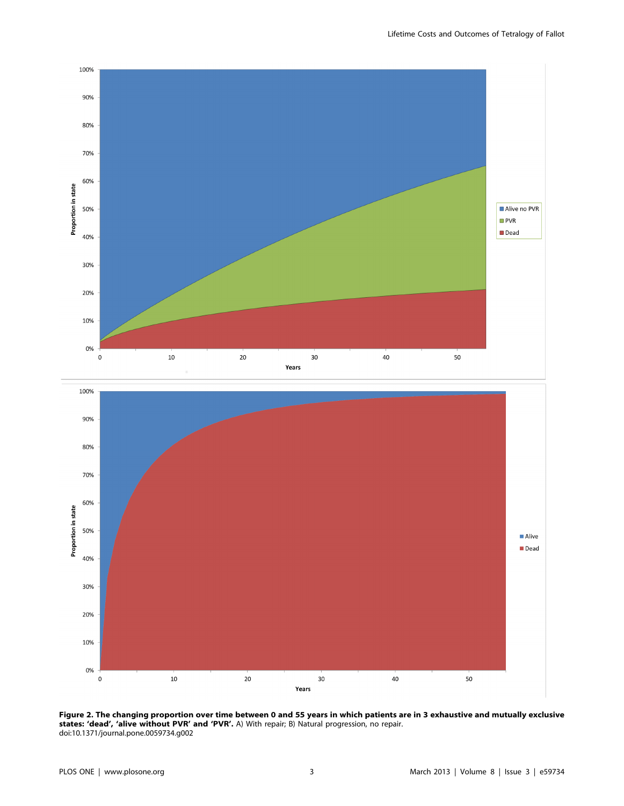

Figure 2. The changing proportion over time between 0 and 55 years in which patients are in 3 exhaustive and mutually exclusive states: 'dead', 'alive without PVR' and 'PVR'. A) With repair; B) Natural progression, no repair. doi:10.1371/journal.pone.0059734.g002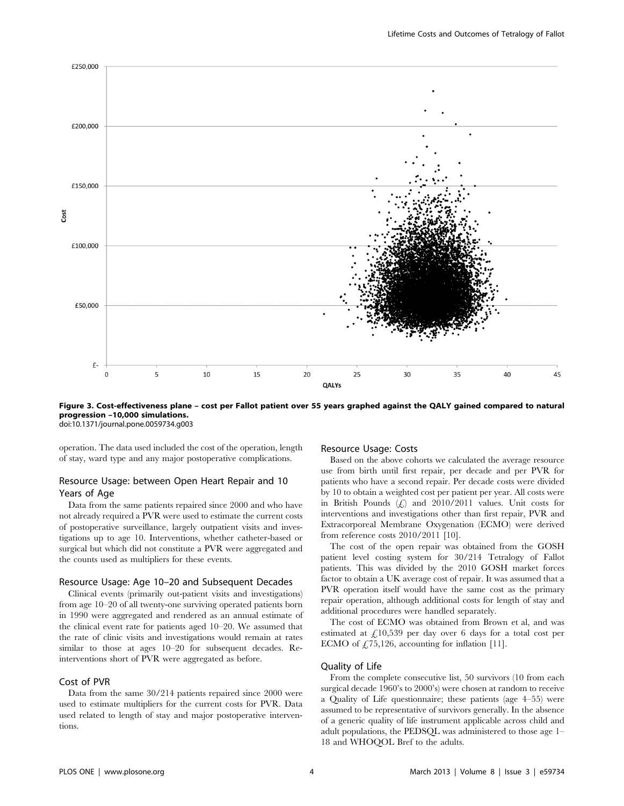

Figure 3. Cost-effectiveness plane – cost per Fallot patient over 55 years graphed against the QALY gained compared to natural progression –10,000 simulations. doi:10.1371/journal.pone.0059734.g003

operation. The data used included the cost of the operation, length of stay, ward type and any major postoperative complications.

# Resource Usage: between Open Heart Repair and 10 Years of Age

Data from the same patients repaired since 2000 and who have not already required a PVR were used to estimate the current costs of postoperative surveillance, largely outpatient visits and investigations up to age 10. Interventions, whether catheter-based or surgical but which did not constitute a PVR were aggregated and the counts used as multipliers for these events.

## Resource Usage: Age 10–20 and Subsequent Decades

Clinical events (primarily out-patient visits and investigations) from age 10–20 of all twenty-one surviving operated patients born in 1990 were aggregated and rendered as an annual estimate of the clinical event rate for patients aged 10–20. We assumed that the rate of clinic visits and investigations would remain at rates similar to those at ages 10–20 for subsequent decades. Reinterventions short of PVR were aggregated as before.

# Cost of PVR

Data from the same 30/214 patients repaired since 2000 were used to estimate multipliers for the current costs for PVR. Data used related to length of stay and major postoperative interventions.

## Resource Usage: Costs

Based on the above cohorts we calculated the average resource use from birth until first repair, per decade and per PVR for patients who have a second repair. Per decade costs were divided by 10 to obtain a weighted cost per patient per year. All costs were in British Pounds  $(f)$  and 2010/2011 values. Unit costs for interventions and investigations other than first repair, PVR and Extracorporeal Membrane Oxygenation (ECMO) were derived from reference costs 2010/2011 [10].

The cost of the open repair was obtained from the GOSH patient level costing system for 30/214 Tetralogy of Fallot patients. This was divided by the 2010 GOSH market forces factor to obtain a UK average cost of repair. It was assumed that a PVR operation itself would have the same cost as the primary repair operation, although additional costs for length of stay and additional procedures were handled separately.

The cost of ECMO was obtained from Brown et al, and was estimated at  $\frac{1}{6}$ 10,539 per day over 6 days for a total cost per ECMO of  $\text{\textsterling}75,126$ , accounting for inflation [11].

# Quality of Life

From the complete consecutive list, 50 survivors (10 from each surgical decade 1960's to 2000's) were chosen at random to receive a Quality of Life questionnaire; these patients (age 4–55) were assumed to be representative of survivors generally. In the absence of a generic quality of life instrument applicable across child and adult populations, the PEDSQL was administered to those age 1– 18 and WHOQOL Bref to the adults.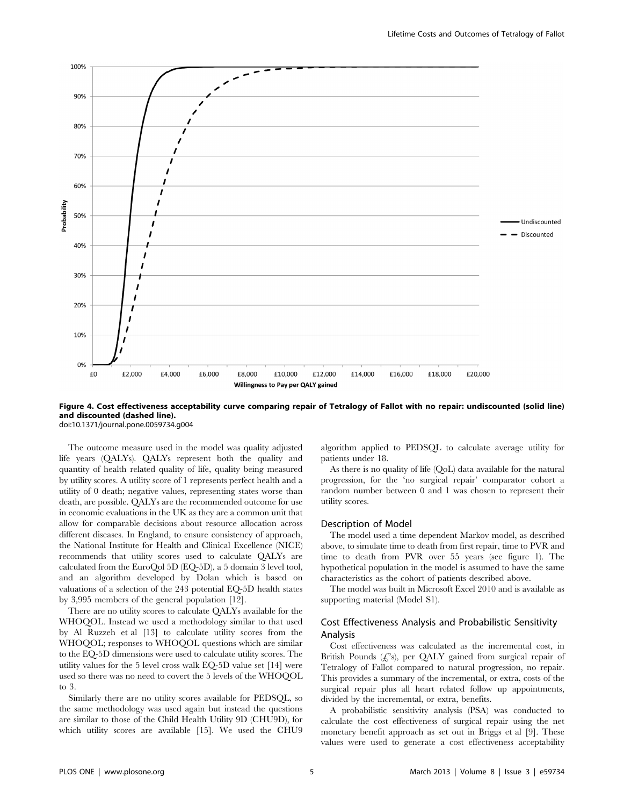

Figure 4. Cost effectiveness acceptability curve comparing repair of Tetralogy of Fallot with no repair: undiscounted (solid line) and discounted (dashed line). doi:10.1371/journal.pone.0059734.g004

The outcome measure used in the model was quality adjusted life years (QALYs). QALYs represent both the quality and quantity of health related quality of life, quality being measured by utility scores. A utility score of 1 represents perfect health and a utility of 0 death; negative values, representing states worse than death, are possible. QALYs are the recommended outcome for use in economic evaluations in the UK as they are a common unit that allow for comparable decisions about resource allocation across different diseases. In England, to ensure consistency of approach, the National Institute for Health and Clinical Excellence (NICE) recommends that utility scores used to calculate QALYs are calculated from the EuroQol 5D (EQ-5D), a 5 domain 3 level tool, and an algorithm developed by Dolan which is based on valuations of a selection of the 243 potential EQ-5D health states by 3,995 members of the general population [12].

There are no utility scores to calculate QALYs available for the WHOQOL. Instead we used a methodology similar to that used by Al Ruzzeh et al [13] to calculate utility scores from the WHOQOL; responses to WHOQOL questions which are similar to the EQ-5D dimensions were used to calculate utility scores. The utility values for the 5 level cross walk EQ-5D value set [14] were used so there was no need to covert the 5 levels of the WHOQOL to 3.

Similarly there are no utility scores available for PEDSQL, so the same methodology was used again but instead the questions are similar to those of the Child Health Utility 9D (CHU9D), for which utility scores are available [15]. We used the CHU9 algorithm applied to PEDSQL to calculate average utility for patients under 18.

As there is no quality of life (QoL) data available for the natural progression, for the 'no surgical repair' comparator cohort a random number between 0 and 1 was chosen to represent their utility scores.

#### Description of Model

The model used a time dependent Markov model, as described above, to simulate time to death from first repair, time to PVR and time to death from PVR over 55 years (see figure 1). The hypothetical population in the model is assumed to have the same characteristics as the cohort of patients described above.

The model was built in Microsoft Excel 2010 and is available as supporting material (Model S1).

## Cost Effectiveness Analysis and Probabilistic Sensitivity Analysis

Cost effectiveness was calculated as the incremental cost, in British Pounds  $(f, s)$ , per QALY gained from surgical repair of Tetralogy of Fallot compared to natural progression, no repair. This provides a summary of the incremental, or extra, costs of the surgical repair plus all heart related follow up appointments, divided by the incremental, or extra, benefits.

A probabilistic sensitivity analysis (PSA) was conducted to calculate the cost effectiveness of surgical repair using the net monetary benefit approach as set out in Briggs et al [9]. These values were used to generate a cost effectiveness acceptability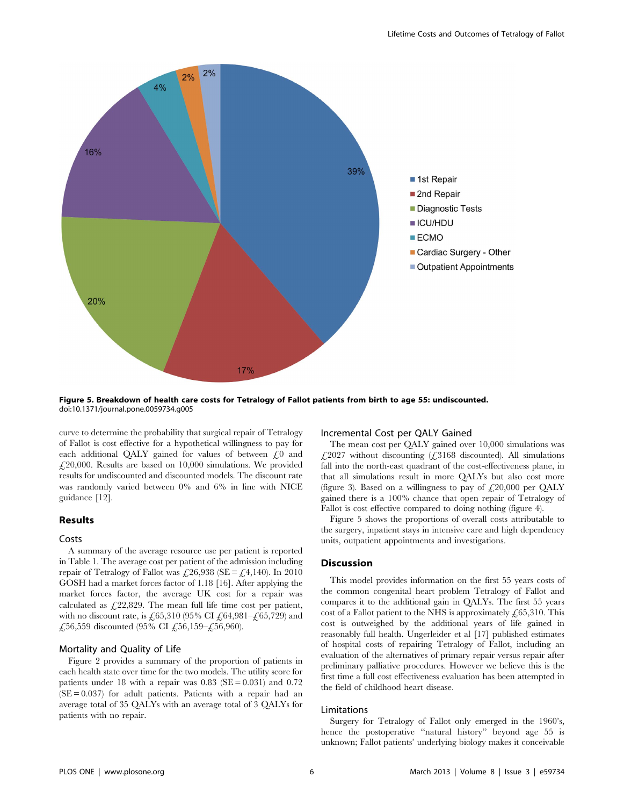

Figure 5. Breakdown of health care costs for Tetralogy of Fallot patients from birth to age 55: undiscounted. doi:10.1371/journal.pone.0059734.g005

curve to determine the probability that surgical repair of Tetralogy of Fallot is cost effective for a hypothetical willingness to pay for each additional QALY gained for values of between  $f(0)$  and  $\angle$  (20,000. Results are based on 10,000 simulations. We provided results for undiscounted and discounted models. The discount rate was randomly varied between 0% and 6% in line with NICE guidance [12].

## Results

#### Costs

A summary of the average resource use per patient is reported in Table 1. The average cost per patient of the admission including repair of Tetralogy of Fallot was £26,938 (SE = £4,140). In 2010 GOSH had a market forces factor of 1.18 [16]. After applying the market forces factor, the average UK cost for a repair was calculated as  $£22,829$ . The mean full life time cost per patient, with no discount rate, is £65,310 (95% CI £64,981–£65,729) and £,56,559 discounted (95% CI £,56,159–£,56,960).

## Mortality and Quality of Life

Figure 2 provides a summary of the proportion of patients in each health state over time for the two models. The utility score for patients under 18 with a repair was  $0.83$  (SE = 0.031) and 0.72  $(SE = 0.037)$  for adult patients. Patients with a repair had an average total of 35 QALYs with an average total of 3 QALYs for patients with no repair.

## Incremental Cost per QALY Gained

The mean cost per QALY gained over 10,000 simulations was  $£2027$  without discounting  $£3168$  discounted). All simulations fall into the north-east quadrant of the cost-effectiveness plane, in that all simulations result in more QALYs but also cost more (figure 3). Based on a willingness to pay of  $\text{\textsterling}20,000$  per QALY gained there is a 100% chance that open repair of Tetralogy of Fallot is cost effective compared to doing nothing (figure 4).

Figure 5 shows the proportions of overall costs attributable to the surgery, inpatient stays in intensive care and high dependency units, outpatient appointments and investigations.

#### Discussion

This model provides information on the first 55 years costs of the common congenital heart problem Tetralogy of Fallot and compares it to the additional gain in QALYs. The first 55 years cost of a Fallot patient to the NHS is approximately  $\angle 65,310$ . This cost is outweighed by the additional years of life gained in reasonably full health. Ungerleider et al [17] published estimates of hospital costs of repairing Tetralogy of Fallot, including an evaluation of the alternatives of primary repair versus repair after preliminary palliative procedures. However we believe this is the first time a full cost effectiveness evaluation has been attempted in the field of childhood heart disease.

#### Limitations

Surgery for Tetralogy of Fallot only emerged in the 1960's, hence the postoperative ''natural history'' beyond age 55 is unknown; Fallot patients' underlying biology makes it conceivable